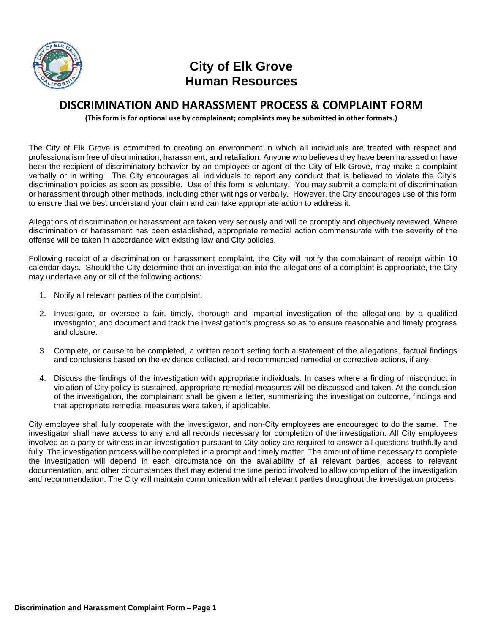

## **City of Elk Grove Human Resources**

## **DISCRIMINATION AND HARASSMENT PROCESS & COMPLAINT FORM**

**(This form is for optional use by complainant; complaints may be submitted in other formats.)**

The City of Elk Grove is committed to creating an environment in which all individuals are treated with respect and professionalism free of discrimination, harassment, and retaliation. Anyone who believes they have been harassed or have been the recipient of discriminatory behavior by an employee or agent of the City of Elk Grove, may make a complaint verbally or in writing. The City encourages all individuals to report any conduct that is believed to violate the City's discrimination policies as soon as possible. Use of this form is voluntary. You may submit a complaint of discrimination or harassment through other methods, including other writings or verbally. However, the City encourages use of this form to ensure that we best understand your claim and can take appropriate action to address it.

Allegations of discrimination or harassment are taken very seriously and will be promptly and objectively reviewed. Where discrimination or harassment has been established, appropriate remedial action commensurate with the severity of the offense will be taken in accordance with existing law and City policies.

Following receipt of a discrimination or harassment complaint, the City will notify the complainant of receipt within 10 calendar days. Should the City determine that an investigation into the allegations of a complaint is appropriate, the City may undertake any or all of the following actions:

- 1. Notify all relevant parties of the complaint.
- 2. Investigate, or oversee a fair, timely, thorough and impartial investigation of the allegations by a qualified investigator, and document and track the investigation's progress so as to ensure reasonable and timely progress and closure.
- 3. Complete, or cause to be completed, a written report setting forth a statement of the allegations, factual findings and conclusions based on the evidence collected, and recommended remedial or corrective actions, if any.
- 4. Discuss the findings of the investigation with appropriate individuals. In cases where a finding of misconduct in violation of City policy is sustained, appropriate remedial measures will be discussed and taken. At the conclusion of the investigation, the complainant shall be given a letter, summarizing the investigation outcome, findings and that appropriate remedial measures were taken, if applicable.

City employee shall fully cooperate with the investigator, and non-City employees are encouraged to do the same. The investigator shall have access to any and all records necessary for completion of the investigation. All City employees involved as a party or witness in an investigation pursuant to City policy are required to answer all questions truthfully and fully. The investigation process will be completed in a prompt and timely matter. The amount of time necessary to complete the investigation will depend in each circumstance on the availability of all relevant parties, access to relevant documentation, and other circumstances that may extend the time period involved to allow completion of the investigation and recommendation. The City will maintain communication with all relevant parties throughout the investigation process.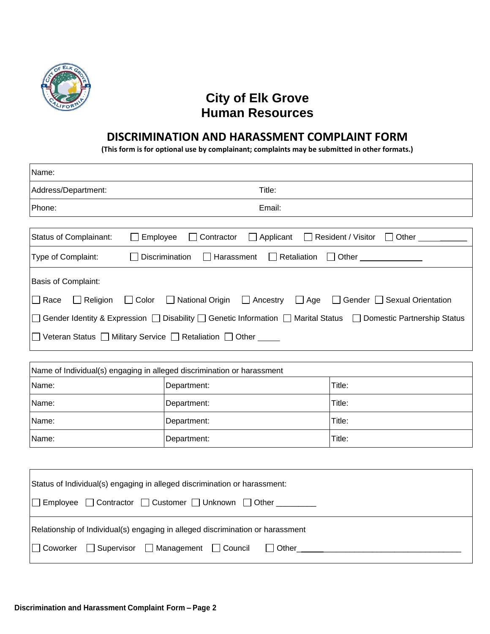

## **City of Elk Grove Human Resources**

## **DISCRIMINATION AND HARASSMENT COMPLAINT FORM**

**(This form is for optional use by complainant; complaints may be submitted in other formats.)**

| Name:                         |                                                                           |                         |                                                                                                                  |                           |
|-------------------------------|---------------------------------------------------------------------------|-------------------------|------------------------------------------------------------------------------------------------------------------|---------------------------|
| Address/Department:           |                                                                           | Title:                  |                                                                                                                  |                           |
| Phone:                        | Email:                                                                    |                         |                                                                                                                  |                           |
|                               |                                                                           |                         |                                                                                                                  |                           |
| <b>Status of Complainant:</b> | Employee                                                                  | Applicant<br>Contractor | $\Box$ Resident / Visitor                                                                                        | $\Box$ Other              |
| Type of Complaint:            | Retaliation<br>Discrimination<br>$\Box$ Other<br>Harassment<br>$\perp$    |                         |                                                                                                                  |                           |
| <b>Basis of Complaint:</b>    |                                                                           |                         |                                                                                                                  |                           |
| $\Box$ Race<br>Religion       | $\Box$ Color<br>□ National Origin                                         | □ Ancestry              | $\Box$ Age<br>$\perp$                                                                                            | Gender Sexual Orientation |
|                               |                                                                           |                         | □ Gender Identity & Expression □ Disability □ Genetic Information □ Marital Status □ Domestic Partnership Status |                           |
|                               | Veteran Status □ Military Service □ Retaliation □ Other                   |                         |                                                                                                                  |                           |
|                               |                                                                           |                         |                                                                                                                  |                           |
|                               | Name of Individual(s) engaging in alleged discrimination or harassment    |                         |                                                                                                                  |                           |
| Name:                         | Department:                                                               |                         | Title:                                                                                                           |                           |
| Name:                         | Department:                                                               |                         | Title:                                                                                                           |                           |
| Name:                         | Department:                                                               |                         | Title:                                                                                                           |                           |
| Name:                         | Department:                                                               |                         | Title:                                                                                                           |                           |
|                               |                                                                           |                         |                                                                                                                  |                           |
|                               | Status of Individual(s) engaging in alleged discrimination or harassment: |                         |                                                                                                                  |                           |
|                               |                                                                           |                         |                                                                                                                  |                           |
| Employee<br>Contractor        | Customer $\Box$                                                           | Unknown<br>Other        |                                                                                                                  |                           |

| Relationship of Individual(s) engaging in alleged discrimination or harassment |
|--------------------------------------------------------------------------------|
|                                                                                |
|                                                                                |
|                                                                                |

Coworker Supervisor Management Council Other\_ \_\_\_\_\_\_\_\_\_\_\_\_\_\_\_\_\_\_\_\_\_\_\_\_\_\_\_\_\_\_\_